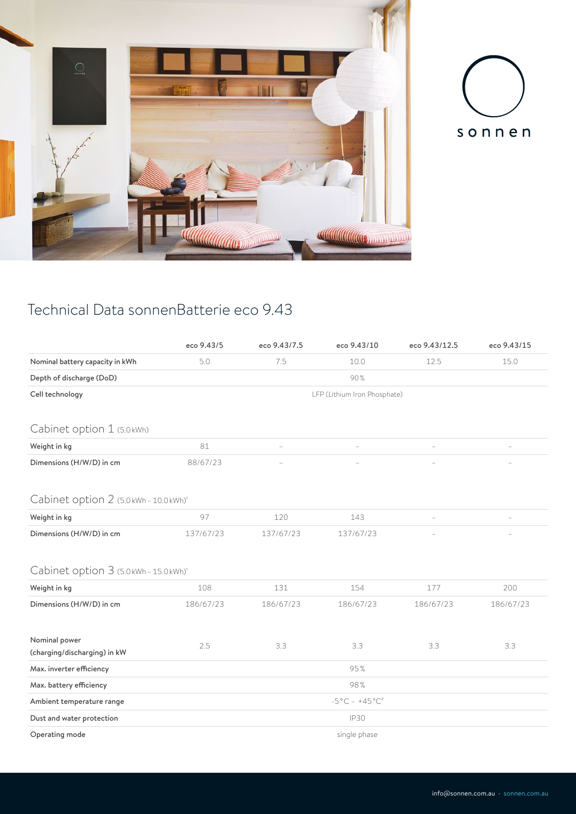



## Technical Data sonnenBatterie eco 9.43

|                                               | eco 9.43/5                                    | eco 9.43/7.5 | eco 9.43/10 | eco 9.43/12.5 | eco 9.43/15 |  |  |  |
|-----------------------------------------------|-----------------------------------------------|--------------|-------------|---------------|-------------|--|--|--|
| Nominal battery capacity in kWh               | 5.0                                           | 7.5          | 10.0        | 12.5          | 15.0        |  |  |  |
| Depth of discharge (DoD)                      | 90%                                           |              |             |               |             |  |  |  |
| Cell technology                               | LFP (Lithium Iron Phosphate)                  |              |             |               |             |  |  |  |
| Cabinet option 1 (5.0kWh)                     |                                               |              |             |               |             |  |  |  |
| Weight in kg                                  | 81                                            |              |             |               |             |  |  |  |
| Dimensions (H/W/D) in cm                      | 88/67/23                                      |              |             |               |             |  |  |  |
| Cabinet option 2 (5.0kWh-10.0kWh)'            |                                               |              |             |               |             |  |  |  |
| Weight in kg                                  | 97                                            | 120          | 143         |               |             |  |  |  |
| Dimensions (H/W/D) in cm                      | 137/67/23                                     | 137/67/23    | 137/67/23   |               |             |  |  |  |
| Cabinet option 3 (5.0kWh-15.0kWh)'            |                                               |              |             |               |             |  |  |  |
| Weight in kg                                  | 108                                           | 131          | 154         | 177           | 200         |  |  |  |
| Dimensions (H/W/D) in cm                      | 186/67/23                                     | 186/67/23    | 186/67/23   | 186/67/23     | 186/67/23   |  |  |  |
| Nominal power<br>(charging/discharging) in kW | 2.5                                           | 3.3          | 3.3         | 3.3           | 3.3         |  |  |  |
| Max. inverter efficiency                      | 95%                                           |              |             |               |             |  |  |  |
| Max. battery efficiency                       | 98%                                           |              |             |               |             |  |  |  |
| Ambient temperature range                     | $-5^{\circ}$ C - $+45^{\circ}$ C <sup>2</sup> |              |             |               |             |  |  |  |
| Dust and water protection                     | <b>IP30</b>                                   |              |             |               |             |  |  |  |
| Operating mode                                | single phase                                  |              |             |               |             |  |  |  |